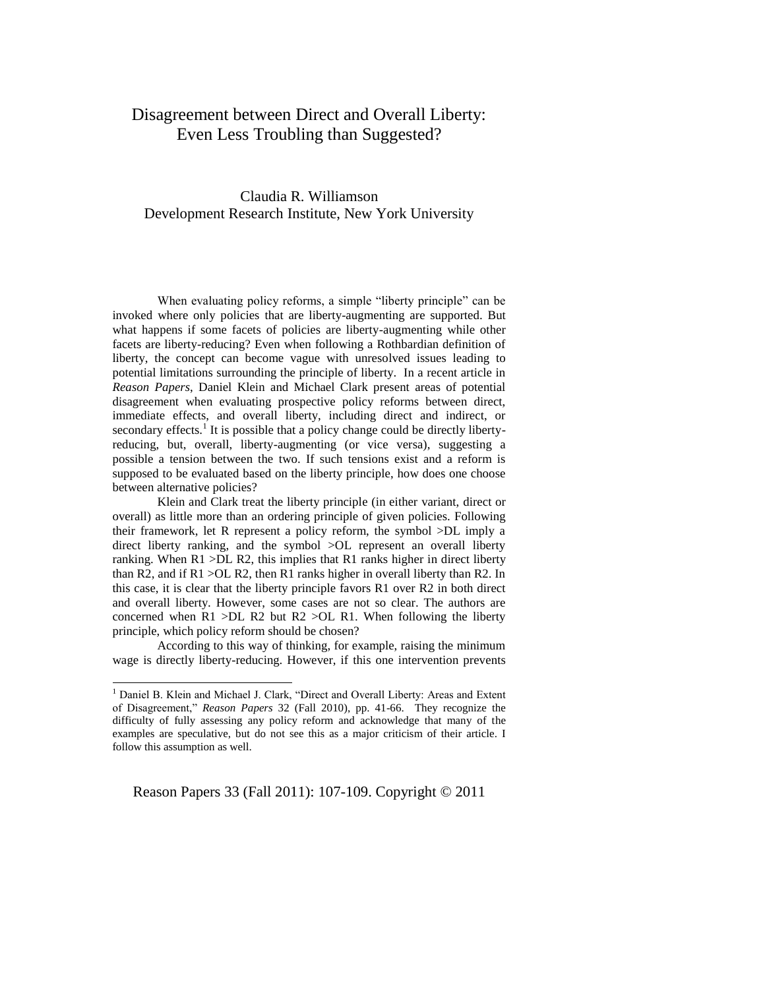## Disagreement between Direct and Overall Liberty: Even Less Troubling than Suggested?

## Claudia R. Williamson Development Research Institute, New York University

When evaluating policy reforms, a simple "liberty principle" can be invoked where only policies that are liberty-augmenting are supported. But what happens if some facets of policies are liberty-augmenting while other facets are liberty-reducing? Even when following a Rothbardian definition of liberty, the concept can become vague with unresolved issues leading to potential limitations surrounding the principle of liberty. In a recent article in *Reason Papers*, Daniel Klein and Michael Clark present areas of potential disagreement when evaluating prospective policy reforms between direct, immediate effects, and overall liberty, including direct and indirect, or secondary effects.<sup>1</sup> It is possible that a policy change could be directly libertyreducing, but, overall, liberty-augmenting (or vice versa), suggesting a possible a tension between the two. If such tensions exist and a reform is supposed to be evaluated based on the liberty principle, how does one choose between alternative policies?

Klein and Clark treat the liberty principle (in either variant, direct or overall) as little more than an ordering principle of given policies. Following their framework, let R represent a policy reform, the symbol >DL imply a direct liberty ranking, and the symbol >OL represent an overall liberty ranking. When  $R1 > DL R2$ , this implies that  $R1$  ranks higher in direct liberty than R2, and if  $R1 > OL R2$ , then R1 ranks higher in overall liberty than R2. In this case, it is clear that the liberty principle favors R1 over R2 in both direct and overall liberty. However, some cases are not so clear. The authors are concerned when  $R1 > DL R2$  but  $R2 > OL R1$ . When following the liberty principle, which policy reform should be chosen?

According to this way of thinking, for example, raising the minimum wage is directly liberty-reducing. However, if this one intervention prevents

 $\overline{a}$ 

Reason Papers 33 (Fall 2011): 107-109. Copyright © 2011

<sup>&</sup>lt;sup>1</sup> Daniel B. Klein and Michael J. Clark, "Direct and Overall Liberty: Areas and Extent of Disagreement," *Reason Papers* 32 (Fall 2010), pp. 41-66. They recognize the difficulty of fully assessing any policy reform and acknowledge that many of the examples are speculative, but do not see this as a major criticism of their article. I follow this assumption as well.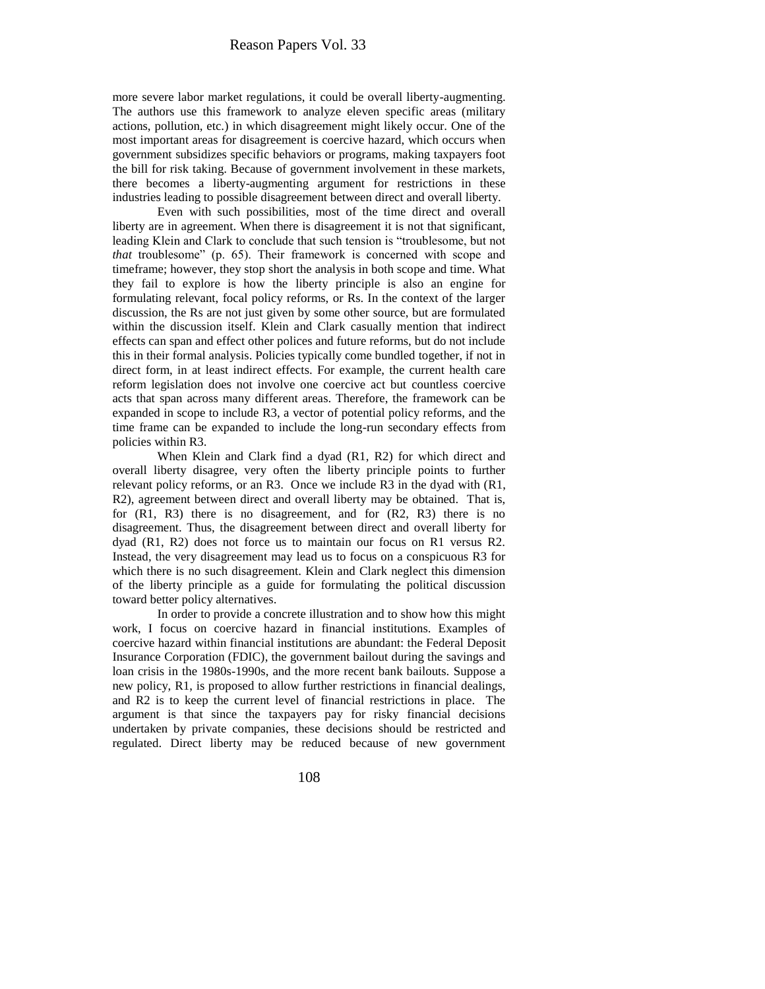more severe labor market regulations, it could be overall liberty-augmenting. The authors use this framework to analyze eleven specific areas (military actions, pollution, etc.) in which disagreement might likely occur. One of the most important areas for disagreement is coercive hazard, which occurs when government subsidizes specific behaviors or programs, making taxpayers foot the bill for risk taking. Because of government involvement in these markets, there becomes a liberty-augmenting argument for restrictions in these industries leading to possible disagreement between direct and overall liberty.

Even with such possibilities, most of the time direct and overall liberty are in agreement. When there is disagreement it is not that significant, leading Klein and Clark to conclude that such tension is "troublesome, but not *that* troublesome" (p. 65). Their framework is concerned with scope and timeframe; however, they stop short the analysis in both scope and time. What they fail to explore is how the liberty principle is also an engine for formulating relevant, focal policy reforms, or Rs. In the context of the larger discussion, the Rs are not just given by some other source, but are formulated within the discussion itself. Klein and Clark casually mention that indirect effects can span and effect other polices and future reforms, but do not include this in their formal analysis. Policies typically come bundled together, if not in direct form, in at least indirect effects. For example, the current health care reform legislation does not involve one coercive act but countless coercive acts that span across many different areas. Therefore, the framework can be expanded in scope to include R3, a vector of potential policy reforms, and the time frame can be expanded to include the long-run secondary effects from policies within R3.

When Klein and Clark find a dyad (R1, R2) for which direct and overall liberty disagree, very often the liberty principle points to further relevant policy reforms, or an R3. Once we include R3 in the dyad with (R1, R2), agreement between direct and overall liberty may be obtained. That is, for (R1, R3) there is no disagreement, and for (R2, R3) there is no disagreement. Thus, the disagreement between direct and overall liberty for dyad (R1, R2) does not force us to maintain our focus on R1 versus R2. Instead, the very disagreement may lead us to focus on a conspicuous R3 for which there is no such disagreement. Klein and Clark neglect this dimension of the liberty principle as a guide for formulating the political discussion toward better policy alternatives.

In order to provide a concrete illustration and to show how this might work, I focus on coercive hazard in financial institutions. Examples of coercive hazard within financial institutions are abundant: the Federal Deposit Insurance Corporation (FDIC), the government bailout during the savings and loan crisis in the 1980s-1990s, and the more recent bank bailouts. Suppose a new policy, R1, is proposed to allow further restrictions in financial dealings, and R2 is to keep the current level of financial restrictions in place. The argument is that since the taxpayers pay for risky financial decisions undertaken by private companies, these decisions should be restricted and regulated. Direct liberty may be reduced because of new government

108